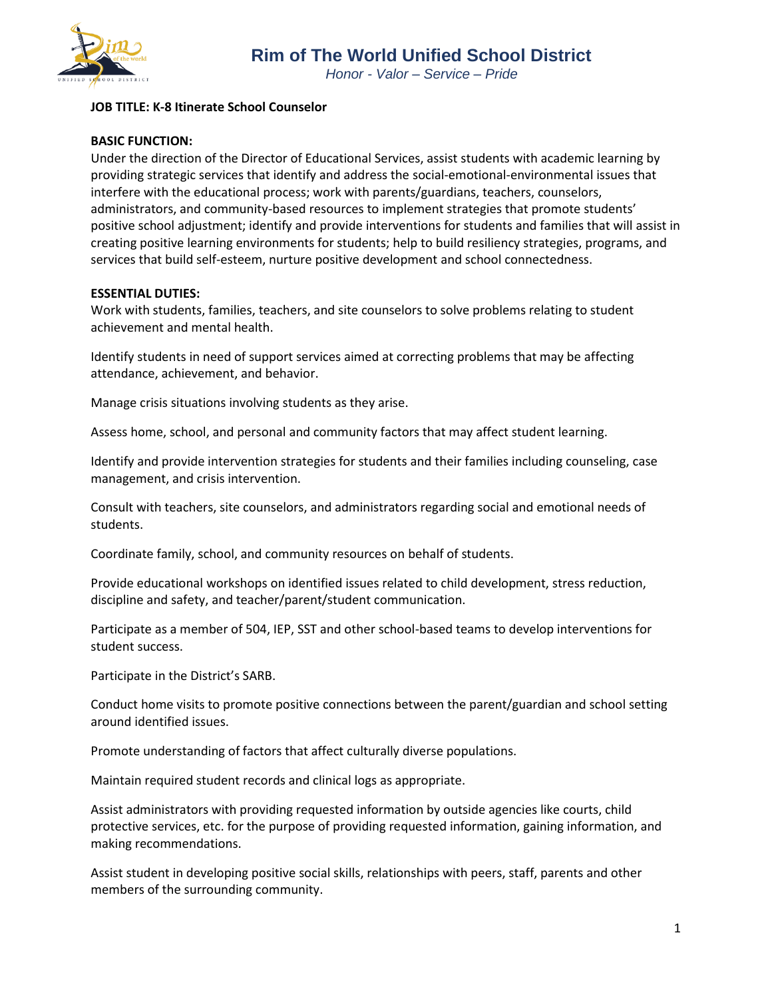

# **JOB TITLE: K-8 Itinerate School Counselor**

# **BASIC FUNCTION:**

Under the direction of the Director of Educational Services, assist students with academic learning by providing strategic services that identify and address the social-emotional-environmental issues that interfere with the educational process; work with parents/guardians, teachers, counselors, administrators, and community-based resources to implement strategies that promote students' positive school adjustment; identify and provide interventions for students and families that will assist in creating positive learning environments for students; help to build resiliency strategies, programs, and services that build self-esteem, nurture positive development and school connectedness.

# **ESSENTIAL DUTIES:**

Work with students, families, teachers, and site counselors to solve problems relating to student achievement and mental health.

Identify students in need of support services aimed at correcting problems that may be affecting attendance, achievement, and behavior.

Manage crisis situations involving students as they arise.

Assess home, school, and personal and community factors that may affect student learning.

Identify and provide intervention strategies for students and their families including counseling, case management, and crisis intervention.

Consult with teachers, site counselors, and administrators regarding social and emotional needs of students.

Coordinate family, school, and community resources on behalf of students.

Provide educational workshops on identified issues related to child development, stress reduction, discipline and safety, and teacher/parent/student communication.

Participate as a member of 504, IEP, SST and other school-based teams to develop interventions for student success.

Participate in the District's SARB.

Conduct home visits to promote positive connections between the parent/guardian and school setting around identified issues.

Promote understanding of factors that affect culturally diverse populations.

Maintain required student records and clinical logs as appropriate.

Assist administrators with providing requested information by outside agencies like courts, child protective services, etc. for the purpose of providing requested information, gaining information, and making recommendations.

Assist student in developing positive social skills, relationships with peers, staff, parents and other members of the surrounding community.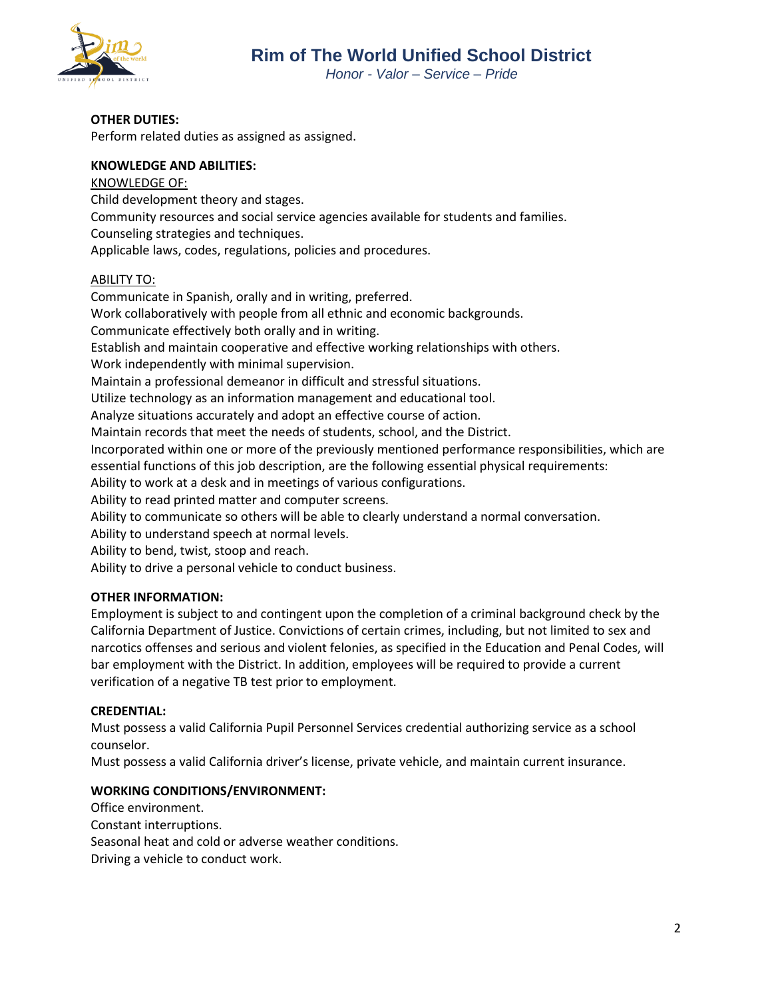

*Honor - Valor – Service – Pride*

### **OTHER DUTIES:**

Perform related duties as assigned as assigned.

## **KNOWLEDGE AND ABILITIES:**

KNOWLEDGE OF: Child development theory and stages. Community resources and social service agencies available for students and families. Counseling strategies and techniques. Applicable laws, codes, regulations, policies and procedures.

## ABILITY TO:

Communicate in Spanish, orally and in writing, preferred. Work collaboratively with people from all ethnic and economic backgrounds. Communicate effectively both orally and in writing. Establish and maintain cooperative and effective working relationships with others. Work independently with minimal supervision. Maintain a professional demeanor in difficult and stressful situations. Utilize technology as an information management and educational tool. Analyze situations accurately and adopt an effective course of action. Maintain records that meet the needs of students, school, and the District. Incorporated within one or more of the previously mentioned performance responsibilities, which are essential functions of this job description, are the following essential physical requirements: Ability to work at a desk and in meetings of various configurations. Ability to read printed matter and computer screens. Ability to communicate so others will be able to clearly understand a normal conversation. Ability to understand speech at normal levels. Ability to bend, twist, stoop and reach. Ability to drive a personal vehicle to conduct business.

# **OTHER INFORMATION:**

Employment is subject to and contingent upon the completion of a criminal background check by the California Department of Justice. Convictions of certain crimes, including, but not limited to sex and narcotics offenses and serious and violent felonies, as specified in the Education and Penal Codes, will bar employment with the District. In addition, employees will be required to provide a current verification of a negative TB test prior to employment.

#### **CREDENTIAL:**

Must possess a valid California Pupil Personnel Services credential authorizing service as a school counselor.

Must possess a valid California driver's license, private vehicle, and maintain current insurance.

# **WORKING CONDITIONS/ENVIRONMENT:**

Office environment. Constant interruptions. Seasonal heat and cold or adverse weather conditions. Driving a vehicle to conduct work.